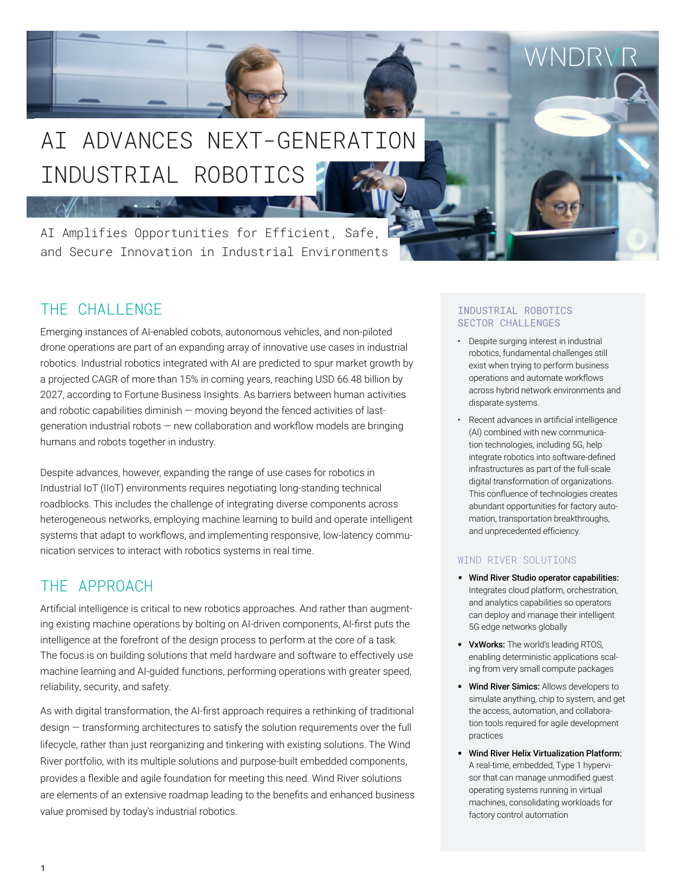# INDUSTRIAL ROBOTICS AI ADVANCES NEXT-GENERATION

and Secure Innovation in Industrial Environments AI Amplifies Opportunities for Efficient, Safe,

## THE CHALL FNGE

Emerging instances of AI-enabled cobots, autonomous vehicles, and non-piloted drone operations are part of an expanding array of innovative use cases in industrial robotics. Industrial robotics integrated with AI are predicted to spur market growth by a projected CAGR of more than 15% in coming years, reaching USD 66.48 billion by 2027, according to Fortune Business Insights. As barriers between human activities and robotic capabilities diminish — moving beyond the fenced activities of lastgeneration industrial robots — new collaboration and workflow models are bringing humans and robots together in industry.

Despite advances, however, expanding the range of use cases for robotics in Industrial IoT (IIoT) environments requires negotiating long-standing technical roadblocks. This includes the challenge of integrating diverse components across heterogeneous networks, employing machine learning to build and operate intelligent systems that adapt to workflows, and implementing responsive, low-latency communication services to interact with robotics systems in real time.

### THE APPROACH

Artificial intelligence is critical to new robotics approaches. And rather than augmenting existing machine operations by bolting on AI-driven components, AI-first puts the intelligence at the forefront of the design process to perform at the core of a task. The focus is on building solutions that meld hardware and software to effectively use machine learning and AI-guided functions, performing operations with greater speed, reliability, security, and safety.

As with digital transformation, the AI-first approach requires a rethinking of traditional design — transforming architectures to satisfy the solution requirements over the full lifecycle, rather than just reorganizing and tinkering with existing solutions. The Wind River portfolio, with its multiple solutions and purpose-built embedded components, provides a flexible and agile foundation for meeting this need. Wind River solutions are elements of an extensive roadmap leading to the benefits and enhanced business value promised by today's industrial robotics.

#### INDUSTRIAL ROBOTICS SECTOR CHALLENGES

• Despite surging interest in industrial robotics, fundamental challenges still exist when trying to perform business operations and automate workflows across hybrid network environments and disparate systems.

WNDR\

• Recent advances in artificial intelligence (AI) combined with new communication technologies, including 5G, help integrate robotics into software-defined infrastructures as part of the full-scale digital transformation of organizations. This confluence of technologies creates abundant opportunities for factory automation, transportation breakthroughs, and unprecedented efficiency.

#### WIND RIVER SOLUTIONS

- *•* Wind River Studio operator capabilities: Integrates cloud platform, orchestration, and analytics capabilities so operators can deploy and manage their intelligent 5G edge networks globally
- VxWorks: The world's leading RTOS, enabling deterministic applications scaling from very small compute packages
- Wind River Simics: Allows developers to simulate anything, chip to system, and get the access, automation, and collaboration tools required for agile development practices
- Wind River Helix Virtualization Platform: A real-time, embedded, Type 1 hypervisor that can manage unmodified guest operating systems running in virtual machines, consolidating workloads for factory control automation